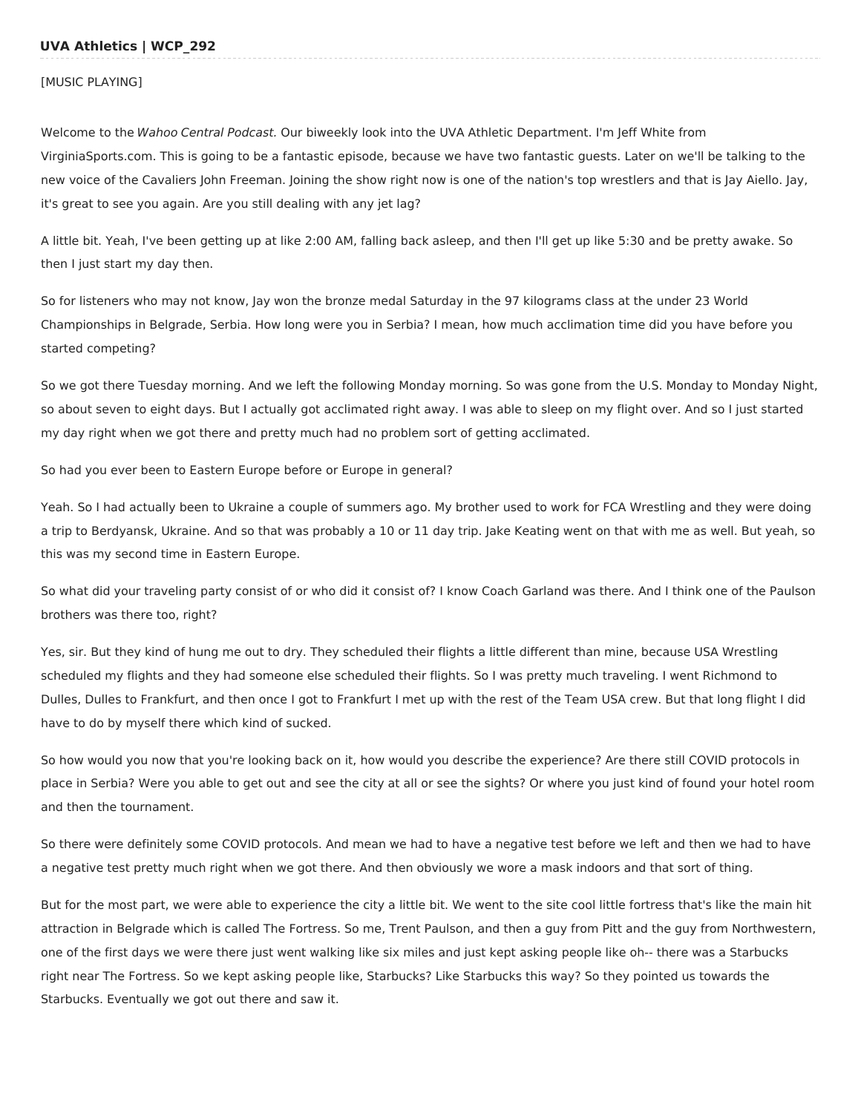### **UVA Athletics | WCP\_292**

#### [MUSIC PLAYING]

Welcome to the Wahoo Central Podcast. Our biweekly look into the UVA Athletic Department. I'm Jeff White from VirginiaSports.com. This is going to be a fantastic episode, because we have two fantastic guests. Later on we'll be talking to the new voice of the Cavaliers John Freeman. Joining the show right now is one of the nation's top wrestlers and that is Jay Aiello. Jay, it's great to see you again. Are you still dealing with any jet lag?

A little bit. Yeah, I've been getting up at like 2:00 AM, falling back asleep, and then I'll get up like 5:30 and be pretty awake. So then I just start my day then.

So for listeners who may not know, Jay won the bronze medal Saturday in the 97 kilograms class at the under 23 World Championships in Belgrade, Serbia. How long were you in Serbia? I mean, how much acclimation time did you have before you started competing?

So we got there Tuesday morning. And we left the following Monday morning. So was gone from the U.S. Monday to Monday Night, so about seven to eight days. But I actually got acclimated right away. I was able to sleep on my flight over. And so I just started my day right when we got there and pretty much had no problem sort of getting acclimated.

So had you ever been to Eastern Europe before or Europe in general?

Yeah. So I had actually been to Ukraine a couple of summers ago. My brother used to work for FCA Wrestling and they were doing a trip to Berdyansk, Ukraine. And so that was probably a 10 or 11 day trip. Jake Keating went on that with me as well. But yeah, so this was my second time in Eastern Europe.

So what did your traveling party consist of or who did it consist of? I know Coach Garland was there. And I think one of the Paulson brothers was there too, right?

Yes, sir. But they kind of hung me out to dry. They scheduled their flights a little different than mine, because USA Wrestling scheduled my flights and they had someone else scheduled their flights. So I was pretty much traveling. I went Richmond to Dulles, Dulles to Frankfurt, and then once I got to Frankfurt I met up with the rest of the Team USA crew. But that long flight I did have to do by myself there which kind of sucked.

So how would you now that you're looking back on it, how would you describe the experience? Are there still COVID protocols in place in Serbia? Were you able to get out and see the city at all or see the sights? Or where you just kind of found your hotel room and then the tournament.

So there were definitely some COVID protocols. And mean we had to have a negative test before we left and then we had to have a negative test pretty much right when we got there. And then obviously we wore a mask indoors and that sort of thing.

But for the most part, we were able to experience the city a little bit. We went to the site cool little fortress that's like the main hit attraction in Belgrade which is called The Fortress. So me, Trent Paulson, and then a guy from Pitt and the guy from Northwestern, one of the first days we were there just went walking like six miles and just kept asking people like oh-- there was a Starbucks right near The Fortress. So we kept asking people like, Starbucks? Like Starbucks this way? So they pointed us towards the Starbucks. Eventually we got out there and saw it.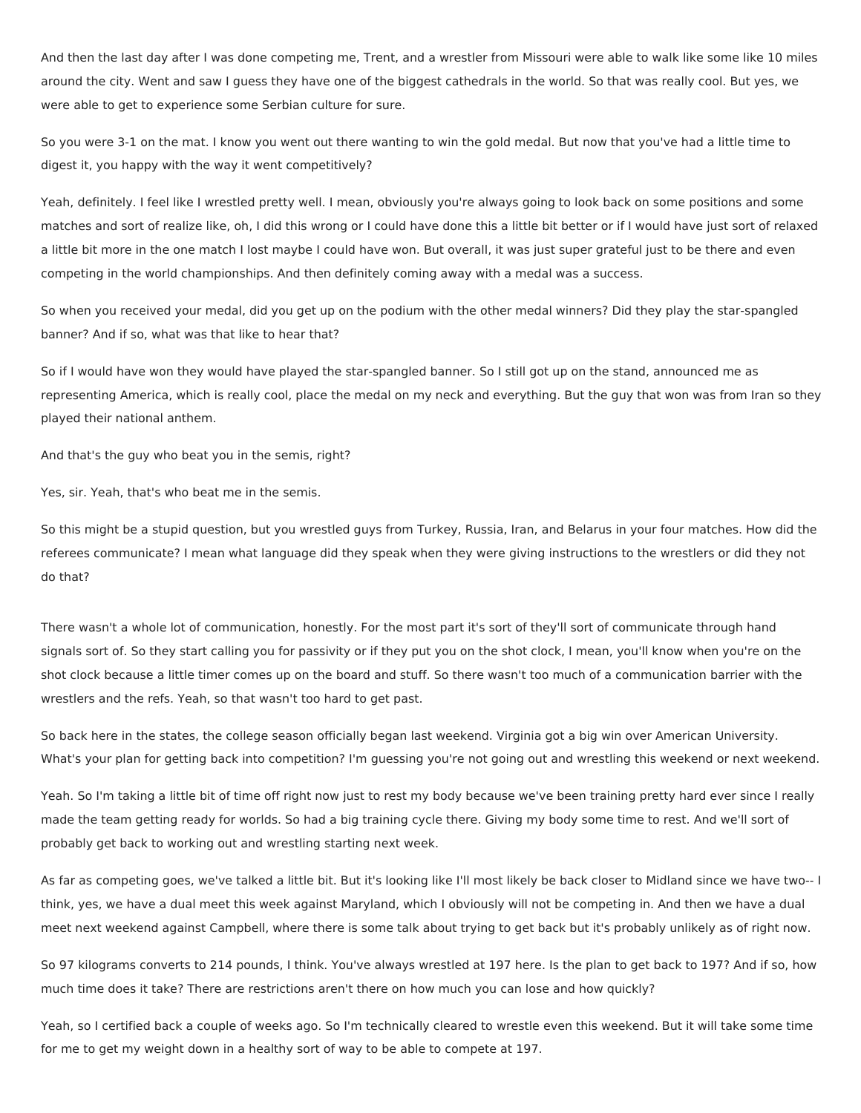And then the last day after I was done competing me, Trent, and a wrestler from Missouri were able to walk like some like 10 miles around the city. Went and saw I guess they have one of the biggest cathedrals in the world. So that was really cool. But yes, we were able to get to experience some Serbian culture for sure.

So you were 3-1 on the mat. I know you went out there wanting to win the gold medal. But now that you've had a little time to digest it, you happy with the way it went competitively?

Yeah, definitely. I feel like I wrestled pretty well. I mean, obviously you're always going to look back on some positions and some matches and sort of realize like, oh, I did this wrong or I could have done this a little bit better or if I would have just sort of relaxed a little bit more in the one match I lost maybe I could have won. But overall, it was just super grateful just to be there and even competing in the world championships. And then definitely coming away with a medal was a success.

So when you received your medal, did you get up on the podium with the other medal winners? Did they play the star-spangled banner? And if so, what was that like to hear that?

So if I would have won they would have played the star-spangled banner. So I still got up on the stand, announced me as representing America, which is really cool, place the medal on my neck and everything. But the guy that won was from Iran so they played their national anthem.

And that's the guy who beat you in the semis, right?

Yes, sir. Yeah, that's who beat me in the semis.

So this might be a stupid question, but you wrestled guys from Turkey, Russia, Iran, and Belarus in your four matches. How did the referees communicate? I mean what language did they speak when they were giving instructions to the wrestlers or did they not do that?

There wasn't a whole lot of communication, honestly. For the most part it's sort of they'll sort of communicate through hand signals sort of. So they start calling you for passivity or if they put you on the shot clock, I mean, you'll know when you're on the shot clock because a little timer comes up on the board and stuff. So there wasn't too much of a communication barrier with the wrestlers and the refs. Yeah, so that wasn't too hard to get past.

So back here in the states, the college season officially began last weekend. Virginia got a big win over American University. What's your plan for getting back into competition? I'm guessing you're not going out and wrestling this weekend or next weekend.

Yeah. So I'm taking a little bit of time off right now just to rest my body because we've been training pretty hard ever since I really made the team getting ready for worlds. So had a big training cycle there. Giving my body some time to rest. And we'll sort of probably get back to working out and wrestling starting next week.

As far as competing goes, we've talked a little bit. But it's looking like I'll most likely be back closer to Midland since we have two-- I think, yes, we have a dual meet this week against Maryland, which I obviously will not be competing in. And then we have a dual meet next weekend against Campbell, where there is some talk about trying to get back but it's probably unlikely as of right now.

So 97 kilograms converts to 214 pounds, I think. You've always wrestled at 197 here. Is the plan to get back to 197? And if so, how much time does it take? There are restrictions aren't there on how much you can lose and how quickly?

Yeah, so I certified back a couple of weeks ago. So I'm technically cleared to wrestle even this weekend. But it will take some time for me to get my weight down in a healthy sort of way to be able to compete at 197.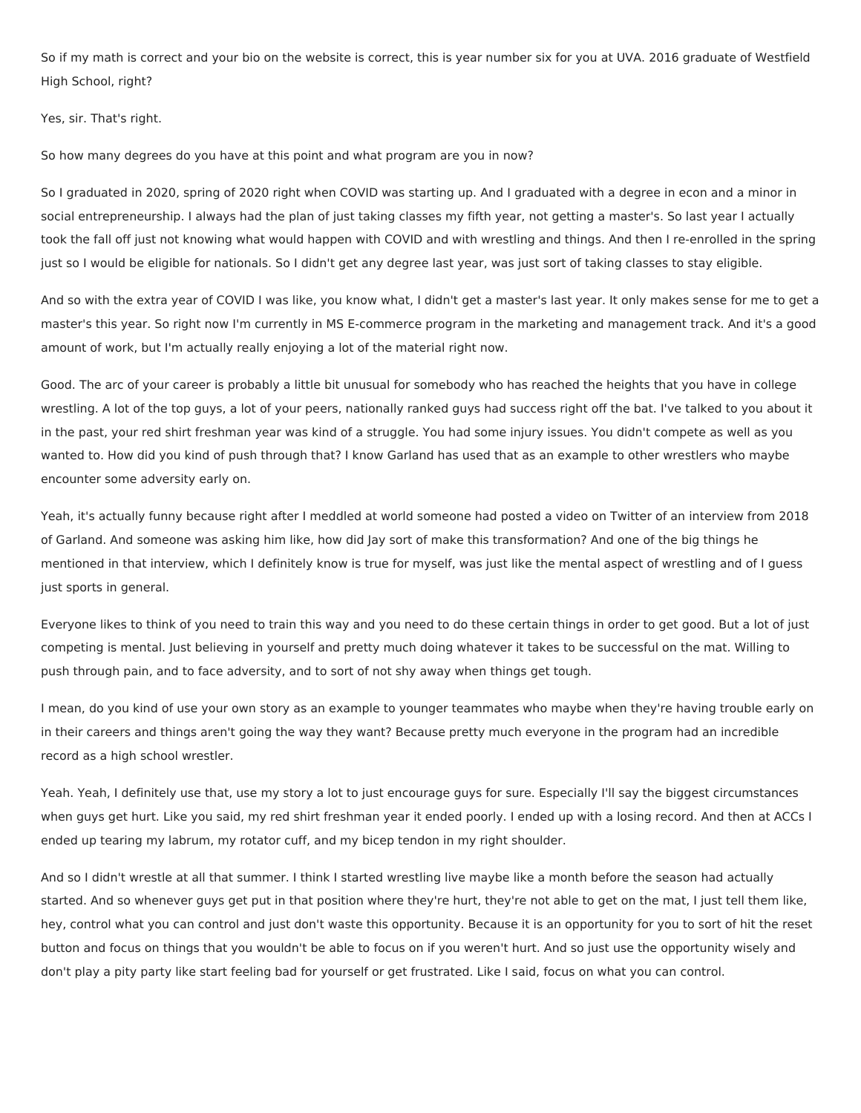So if my math is correct and your bio on the website is correct, this is year number six for you at UVA. 2016 graduate of Westfield High School, right?

Yes, sir. That's right.

So how many degrees do you have at this point and what program are you in now?

So I graduated in 2020, spring of 2020 right when COVID was starting up. And I graduated with a degree in econ and a minor in social entrepreneurship. I always had the plan of just taking classes my fifth year, not getting a master's. So last year I actually took the fall off just not knowing what would happen with COVID and with wrestling and things. And then I re-enrolled in the spring just so I would be eligible for nationals. So I didn't get any degree last year, was just sort of taking classes to stay eligible.

And so with the extra year of COVID I was like, you know what, I didn't get a master's last year. It only makes sense for me to get a master's this year. So right now I'm currently in MS E-commerce program in the marketing and management track. And it's a good amount of work, but I'm actually really enjoying a lot of the material right now.

Good. The arc of your career is probably a little bit unusual for somebody who has reached the heights that you have in college wrestling. A lot of the top guys, a lot of your peers, nationally ranked guys had success right off the bat. I've talked to you about it in the past, your red shirt freshman year was kind of a struggle. You had some injury issues. You didn't compete as well as you wanted to. How did you kind of push through that? I know Garland has used that as an example to other wrestlers who maybe encounter some adversity early on.

Yeah, it's actually funny because right after I meddled at world someone had posted a video on Twitter of an interview from 2018 of Garland. And someone was asking him like, how did Jay sort of make this transformation? And one of the big things he mentioned in that interview, which I definitely know is true for myself, was just like the mental aspect of wrestling and of I guess just sports in general.

Everyone likes to think of you need to train this way and you need to do these certain things in order to get good. But a lot of just competing is mental. Just believing in yourself and pretty much doing whatever it takes to be successful on the mat. Willing to push through pain, and to face adversity, and to sort of not shy away when things get tough.

I mean, do you kind of use your own story as an example to younger teammates who maybe when they're having trouble early on in their careers and things aren't going the way they want? Because pretty much everyone in the program had an incredible record as a high school wrestler.

Yeah. Yeah, I definitely use that, use my story a lot to just encourage guys for sure. Especially I'll say the biggest circumstances when guys get hurt. Like you said, my red shirt freshman year it ended poorly. I ended up with a losing record. And then at ACCs I ended up tearing my labrum, my rotator cuff, and my bicep tendon in my right shoulder.

And so I didn't wrestle at all that summer. I think I started wrestling live maybe like a month before the season had actually started. And so whenever guys get put in that position where they're hurt, they're not able to get on the mat, I just tell them like, hey, control what you can control and just don't waste this opportunity. Because it is an opportunity for you to sort of hit the reset button and focus on things that you wouldn't be able to focus on if you weren't hurt. And so just use the opportunity wisely and don't play a pity party like start feeling bad for yourself or get frustrated. Like I said, focus on what you can control.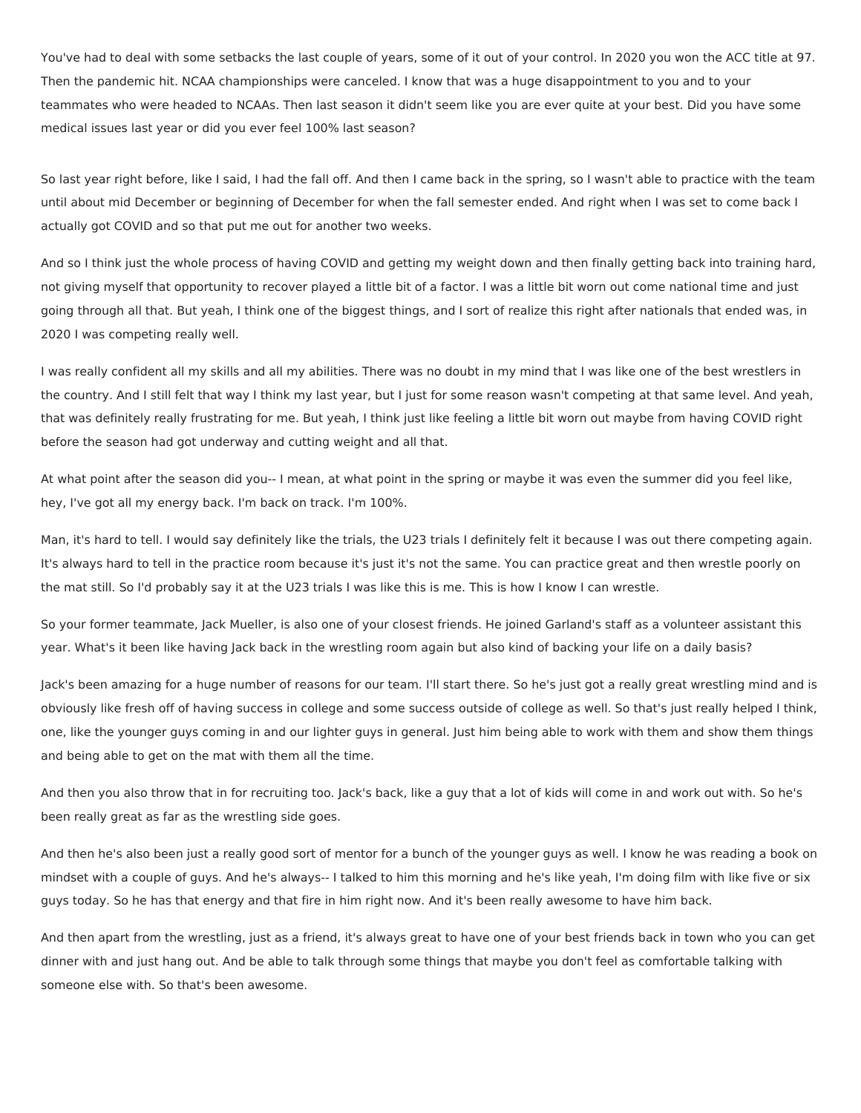You've had to deal with some setbacks the last couple of years, some of it out of your control. In 2020 you won the ACC title at 97. Then the pandemic hit. NCAA championships were canceled. I know that was a huge disappointment to you and to your teammates who were headed to NCAAs. Then last season it didn't seem like you are ever quite at your best. Did you have some medical issues last year or did you ever feel 100% last season?

So last year right before, like I said, I had the fall off. And then I came back in the spring, so I wasn't able to practice with the team until about mid December or beginning of December for when the fall semester ended. And right when I was set to come back I actually got COVID and so that put me out for another two weeks.

And so I think just the whole process of having COVID and getting my weight down and then finally getting back into training hard, not giving myself that opportunity to recover played a little bit of a factor. I was a little bit worn out come national time and just going through all that. But yeah, I think one of the biggest things, and I sort of realize this right after nationals that ended was, in 2020 I was competing really well.

I was really confident all my skills and all my abilities. There was no doubt in my mind that I was like one of the best wrestlers in the country. And I still felt that way I think my last year, but I just for some reason wasn't competing at that same level. And yeah, that was definitely really frustrating for me. But yeah, I think just like feeling a little bit worn out maybe from having COVID right before the season had got underway and cutting weight and all that.

At what point after the season did you-- I mean, at what point in the spring or maybe it was even the summer did you feel like, hey, I've got all my energy back. I'm back on track. I'm 100%.

Man, it's hard to tell. I would say definitely like the trials, the U23 trials I definitely felt it because I was out there competing again. It's always hard to tell in the practice room because it's just it's not the same. You can practice great and then wrestle poorly on the mat still. So I'd probably say it at the U23 trials I was like this is me. This is how I know I can wrestle.

So your former teammate, Jack Mueller, is also one of your closest friends. He joined Garland's staff as a volunteer assistant this year. What's it been like having Jack back in the wrestling room again but also kind of backing your life on a daily basis?

Jack's been amazing for a huge number of reasons for our team. I'll start there. So he's just got a really great wrestling mind and is obviously like fresh off of having success in college and some success outside of college as well. So that's just really helped I think, one, like the younger guys coming in and our lighter guys in general. Just him being able to work with them and show them things and being able to get on the mat with them all the time.

And then you also throw that in for recruiting too. Jack's back, like a guy that a lot of kids will come in and work out with. So he's been really great as far as the wrestling side goes.

And then he's also been just a really good sort of mentor for a bunch of the younger guys as well. I know he was reading a book on mindset with a couple of guys. And he's always-- I talked to him this morning and he's like yeah, I'm doing film with like five or six guys today. So he has that energy and that fire in him right now. And it's been really awesome to have him back.

And then apart from the wrestling, just as a friend, it's always great to have one of your best friends back in town who you can get dinner with and just hang out. And be able to talk through some things that maybe you don't feel as comfortable talking with someone else with. So that's been awesome.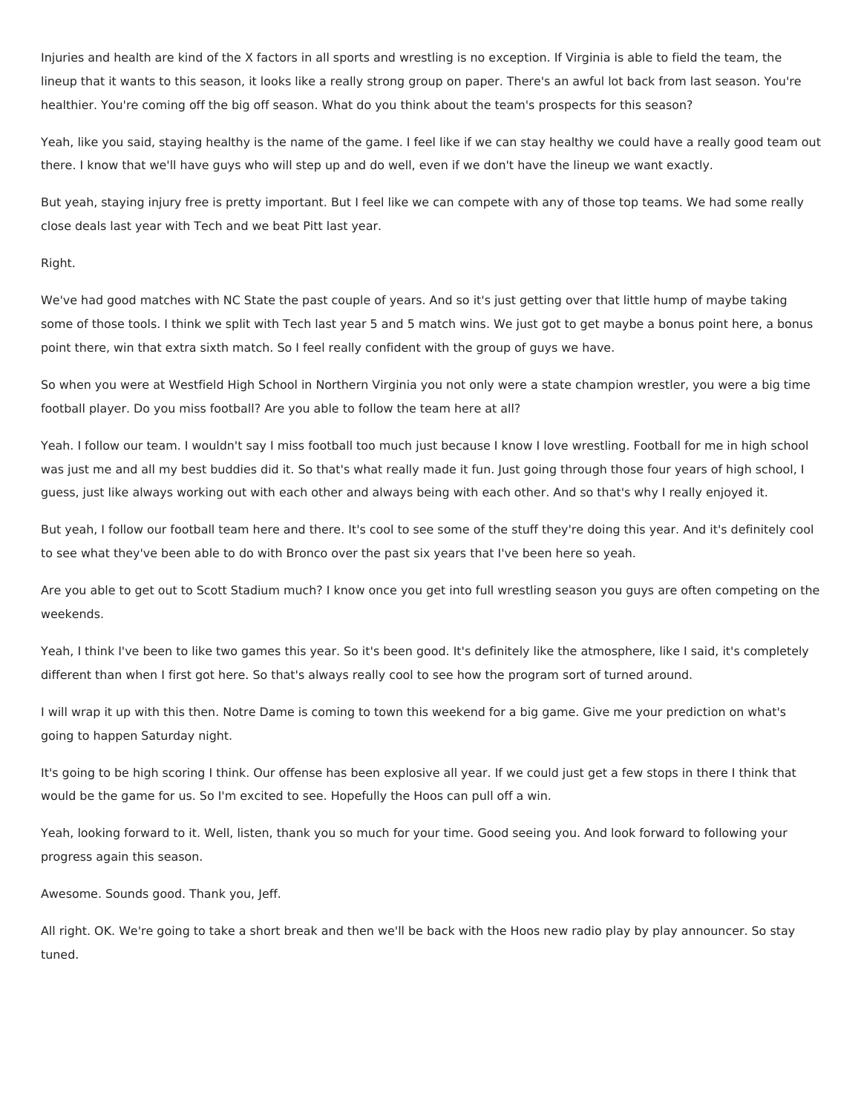Injuries and health are kind of the X factors in all sports and wrestling is no exception. If Virginia is able to field the team, the lineup that it wants to this season, it looks like a really strong group on paper. There's an awful lot back from last season. You're healthier. You're coming off the big off season. What do you think about the team's prospects for this season?

Yeah, like you said, staying healthy is the name of the game. I feel like if we can stay healthy we could have a really good team out there. I know that we'll have guys who will step up and do well, even if we don't have the lineup we want exactly.

But yeah, staying injury free is pretty important. But I feel like we can compete with any of those top teams. We had some really close deals last year with Tech and we beat Pitt last year.

#### Right.

We've had good matches with NC State the past couple of years. And so it's just getting over that little hump of maybe taking some of those tools. I think we split with Tech last year 5 and 5 match wins. We just got to get maybe a bonus point here, a bonus point there, win that extra sixth match. So I feel really confident with the group of guys we have.

So when you were at Westfield High School in Northern Virginia you not only were a state champion wrestler, you were a big time football player. Do you miss football? Are you able to follow the team here at all?

Yeah. I follow our team. I wouldn't say I miss football too much just because I know I love wrestling. Football for me in high school was just me and all my best buddies did it. So that's what really made it fun. Just going through those four years of high school, I guess, just like always working out with each other and always being with each other. And so that's why I really enjoyed it.

But yeah, I follow our football team here and there. It's cool to see some of the stuff they're doing this year. And it's definitely cool to see what they've been able to do with Bronco over the past six years that I've been here so yeah.

Are you able to get out to Scott Stadium much? I know once you get into full wrestling season you guys are often competing on the weekends.

Yeah, I think I've been to like two games this year. So it's been good. It's definitely like the atmosphere, like I said, it's completely different than when I first got here. So that's always really cool to see how the program sort of turned around.

I will wrap it up with this then. Notre Dame is coming to town this weekend for a big game. Give me your prediction on what's going to happen Saturday night.

It's going to be high scoring I think. Our offense has been explosive all year. If we could just get a few stops in there I think that would be the game for us. So I'm excited to see. Hopefully the Hoos can pull off a win.

Yeah, looking forward to it. Well, listen, thank you so much for your time. Good seeing you. And look forward to following your progress again this season.

Awesome. Sounds good. Thank you, Jeff.

All right. OK. We're going to take a short break and then we'll be back with the Hoos new radio play by play announcer. So stay tuned.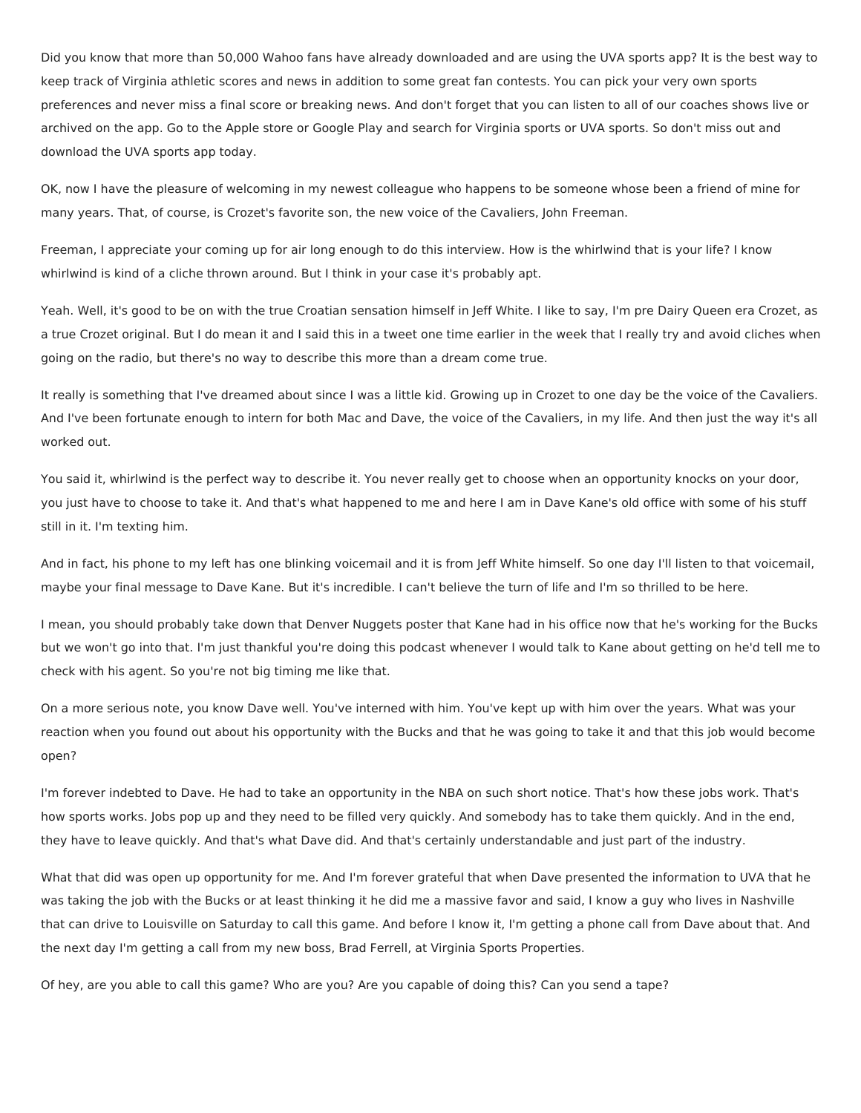Did you know that more than 50,000 Wahoo fans have already downloaded and are using the UVA sports app? It is the best way to keep track of Virginia athletic scores and news in addition to some great fan contests. You can pick your very own sports preferences and never miss a final score or breaking news. And don't forget that you can listen to all of our coaches shows live or archived on the app. Go to the Apple store or Google Play and search for Virginia sports or UVA sports. So don't miss out and download the UVA sports app today.

OK, now I have the pleasure of welcoming in my newest colleague who happens to be someone whose been a friend of mine for many years. That, of course, is Crozet's favorite son, the new voice of the Cavaliers, John Freeman.

Freeman, I appreciate your coming up for air long enough to do this interview. How is the whirlwind that is your life? I know whirlwind is kind of a cliche thrown around. But I think in your case it's probably apt.

Yeah. Well, it's good to be on with the true Croatian sensation himself in Jeff White. I like to say, I'm pre Dairy Queen era Crozet, as a true Crozet original. But I do mean it and I said this in a tweet one time earlier in the week that I really try and avoid cliches when going on the radio, but there's no way to describe this more than a dream come true.

It really is something that I've dreamed about since I was a little kid. Growing up in Crozet to one day be the voice of the Cavaliers. And I've been fortunate enough to intern for both Mac and Dave, the voice of the Cavaliers, in my life. And then just the way it's all worked out.

You said it, whirlwind is the perfect way to describe it. You never really get to choose when an opportunity knocks on your door, you just have to choose to take it. And that's what happened to me and here I am in Dave Kane's old office with some of his stuff still in it. I'm texting him.

And in fact, his phone to my left has one blinking voicemail and it is from Jeff White himself. So one day I'll listen to that voicemail, maybe your final message to Dave Kane. But it's incredible. I can't believe the turn of life and I'm so thrilled to be here.

I mean, you should probably take down that Denver Nuggets poster that Kane had in his office now that he's working for the Bucks but we won't go into that. I'm just thankful you're doing this podcast whenever I would talk to Kane about getting on he'd tell me to check with his agent. So you're not big timing me like that.

On a more serious note, you know Dave well. You've interned with him. You've kept up with him over the years. What was your reaction when you found out about his opportunity with the Bucks and that he was going to take it and that this job would become open?

I'm forever indebted to Dave. He had to take an opportunity in the NBA on such short notice. That's how these jobs work. That's how sports works. Jobs pop up and they need to be filled very quickly. And somebody has to take them quickly. And in the end, they have to leave quickly. And that's what Dave did. And that's certainly understandable and just part of the industry.

What that did was open up opportunity for me. And I'm forever grateful that when Dave presented the information to UVA that he was taking the job with the Bucks or at least thinking it he did me a massive favor and said, I know a guy who lives in Nashville that can drive to Louisville on Saturday to call this game. And before I know it, I'm getting a phone call from Dave about that. And the next day I'm getting a call from my new boss, Brad Ferrell, at Virginia Sports Properties.

Of hey, are you able to call this game? Who are you? Are you capable of doing this? Can you send a tape?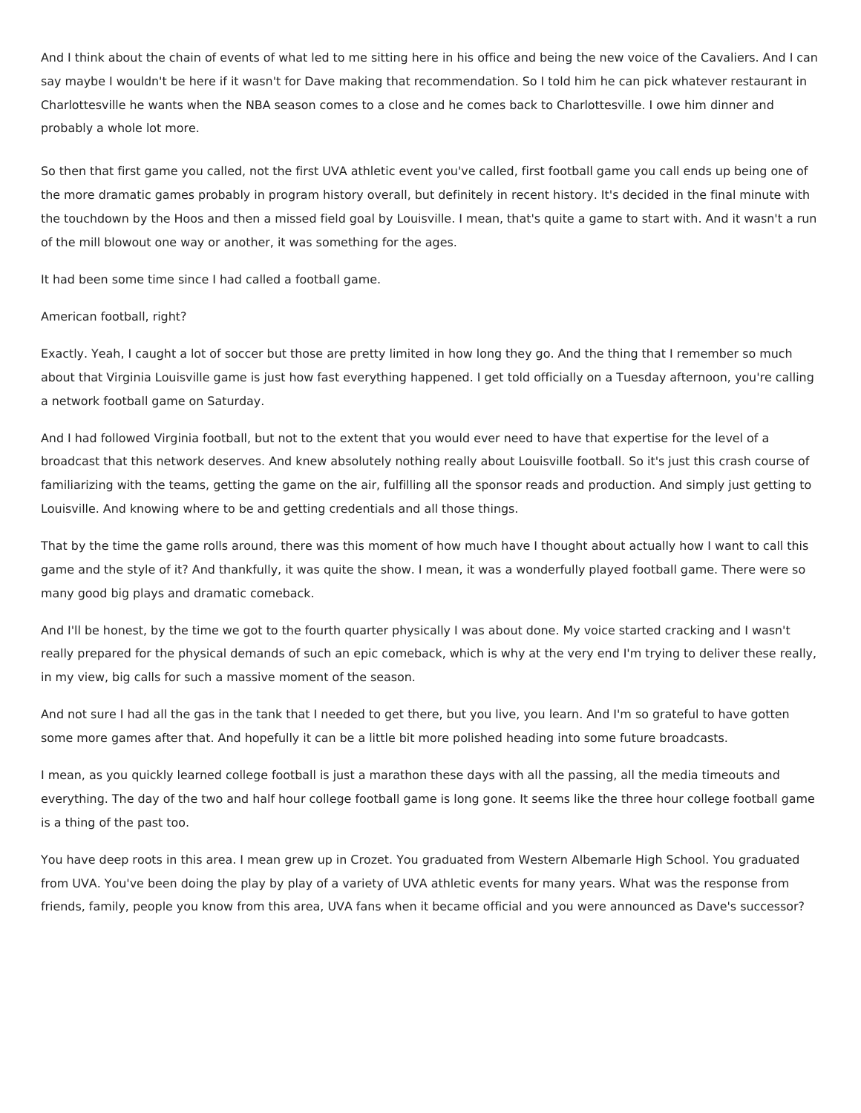And I think about the chain of events of what led to me sitting here in his office and being the new voice of the Cavaliers. And I can say maybe I wouldn't be here if it wasn't for Dave making that recommendation. So I told him he can pick whatever restaurant in Charlottesville he wants when the NBA season comes to a close and he comes back to Charlottesville. I owe him dinner and probably a whole lot more.

So then that first game you called, not the first UVA athletic event you've called, first football game you call ends up being one of the more dramatic games probably in program history overall, but definitely in recent history. It's decided in the final minute with the touchdown by the Hoos and then a missed field goal by Louisville. I mean, that's quite a game to start with. And it wasn't a run of the mill blowout one way or another, it was something for the ages.

It had been some time since I had called a football game.

## American football, right?

Exactly. Yeah, I caught a lot of soccer but those are pretty limited in how long they go. And the thing that I remember so much about that Virginia Louisville game is just how fast everything happened. I get told officially on a Tuesday afternoon, you're calling a network football game on Saturday.

And I had followed Virginia football, but not to the extent that you would ever need to have that expertise for the level of a broadcast that this network deserves. And knew absolutely nothing really about Louisville football. So it's just this crash course of familiarizing with the teams, getting the game on the air, fulfilling all the sponsor reads and production. And simply just getting to Louisville. And knowing where to be and getting credentials and all those things.

That by the time the game rolls around, there was this moment of how much have I thought about actually how I want to call this game and the style of it? And thankfully, it was quite the show. I mean, it was a wonderfully played football game. There were so many good big plays and dramatic comeback.

And I'll be honest, by the time we got to the fourth quarter physically I was about done. My voice started cracking and I wasn't really prepared for the physical demands of such an epic comeback, which is why at the very end I'm trying to deliver these really, in my view, big calls for such a massive moment of the season.

And not sure I had all the gas in the tank that I needed to get there, but you live, you learn. And I'm so grateful to have gotten some more games after that. And hopefully it can be a little bit more polished heading into some future broadcasts.

I mean, as you quickly learned college football is just a marathon these days with all the passing, all the media timeouts and everything. The day of the two and half hour college football game is long gone. It seems like the three hour college football game is a thing of the past too.

You have deep roots in this area. I mean grew up in Crozet. You graduated from Western Albemarle High School. You graduated from UVA. You've been doing the play by play of a variety of UVA athletic events for many years. What was the response from friends, family, people you know from this area, UVA fans when it became official and you were announced as Dave's successor?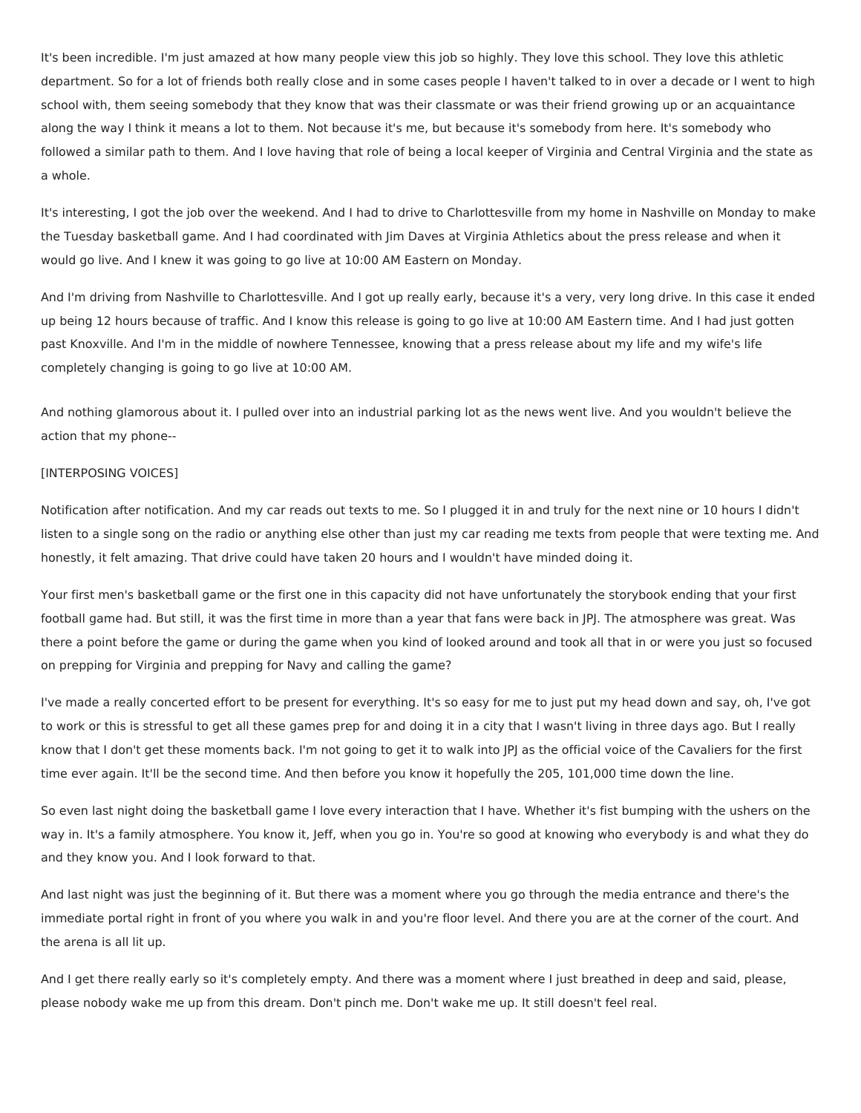It's been incredible. I'm just amazed at how many people view this job so highly. They love this school. They love this athletic department. So for a lot of friends both really close and in some cases people I haven't talked to in over a decade or I went to high school with, them seeing somebody that they know that was their classmate or was their friend growing up or an acquaintance along the way I think it means a lot to them. Not because it's me, but because it's somebody from here. It's somebody who followed a similar path to them. And I love having that role of being a local keeper of Virginia and Central Virginia and the state as a whole.

It's interesting, I got the job over the weekend. And I had to drive to Charlottesville from my home in Nashville on Monday to make the Tuesday basketball game. And I had coordinated with Jim Daves at Virginia Athletics about the press release and when it would go live. And I knew it was going to go live at 10:00 AM Eastern on Monday.

And I'm driving from Nashville to Charlottesville. And I got up really early, because it's a very, very long drive. In this case it ended up being 12 hours because of traffic. And I know this release is going to go live at 10:00 AM Eastern time. And I had just gotten past Knoxville. And I'm in the middle of nowhere Tennessee, knowing that a press release about my life and my wife's life completely changing is going to go live at 10:00 AM.

And nothing glamorous about it. I pulled over into an industrial parking lot as the news went live. And you wouldn't believe the action that my phone--

### [INTERPOSING VOICES]

Notification after notification. And my car reads out texts to me. So I plugged it in and truly for the next nine or 10 hours I didn't listen to a single song on the radio or anything else other than just my car reading me texts from people that were texting me. And honestly, it felt amazing. That drive could have taken 20 hours and I wouldn't have minded doing it.

Your first men's basketball game or the first one in this capacity did not have unfortunately the storybook ending that your first football game had. But still, it was the first time in more than a year that fans were back in JPJ. The atmosphere was great. Was there a point before the game or during the game when you kind of looked around and took all that in or were you just so focused on prepping for Virginia and prepping for Navy and calling the game?

I've made a really concerted effort to be present for everything. It's so easy for me to just put my head down and say, oh, I've got to work or this is stressful to get all these games prep for and doing it in a city that I wasn't living in three days ago. But I really know that I don't get these moments back. I'm not going to get it to walk into JPJ as the official voice of the Cavaliers for the first time ever again. It'll be the second time. And then before you know it hopefully the 205, 101,000 time down the line.

So even last night doing the basketball game I love every interaction that I have. Whether it's fist bumping with the ushers on the way in. It's a family atmosphere. You know it, Jeff, when you go in. You're so good at knowing who everybody is and what they do and they know you. And I look forward to that.

And last night was just the beginning of it. But there was a moment where you go through the media entrance and there's the immediate portal right in front of you where you walk in and you're floor level. And there you are at the corner of the court. And the arena is all lit up.

And I get there really early so it's completely empty. And there was a moment where I just breathed in deep and said, please, please nobody wake me up from this dream. Don't pinch me. Don't wake me up. It still doesn't feel real.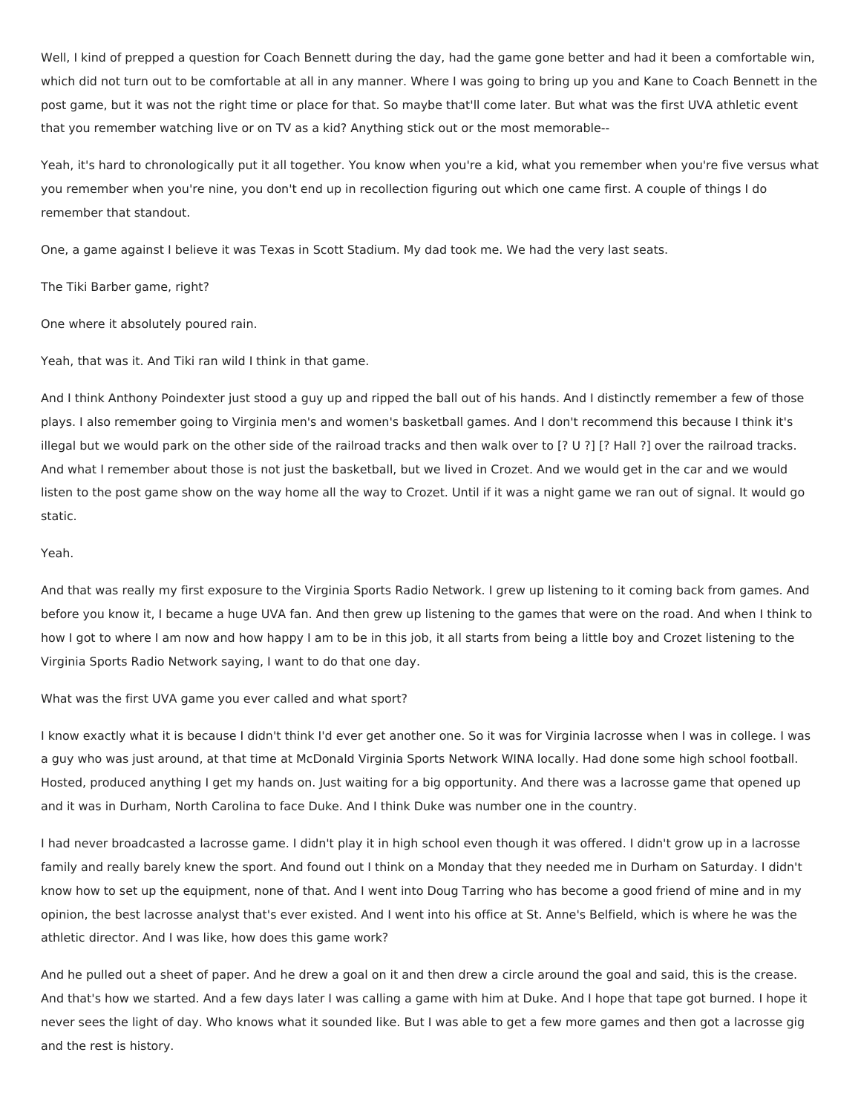Well, I kind of prepped a question for Coach Bennett during the day, had the game gone better and had it been a comfortable win, which did not turn out to be comfortable at all in any manner. Where I was going to bring up you and Kane to Coach Bennett in the post game, but it was not the right time or place for that. So maybe that'll come later. But what was the first UVA athletic event that you remember watching live or on TV as a kid? Anything stick out or the most memorable--

Yeah, it's hard to chronologically put it all together. You know when you're a kid, what you remember when you're five versus what you remember when you're nine, you don't end up in recollection figuring out which one came first. A couple of things I do remember that standout.

One, a game against I believe it was Texas in Scott Stadium. My dad took me. We had the very last seats.

The Tiki Barber game, right?

One where it absolutely poured rain.

Yeah, that was it. And Tiki ran wild I think in that game.

And I think Anthony Poindexter just stood a guy up and ripped the ball out of his hands. And I distinctly remember a few of those plays. I also remember going to Virginia men's and women's basketball games. And I don't recommend this because I think it's illegal but we would park on the other side of the railroad tracks and then walk over to [? U ?] [? Hall ?] over the railroad tracks. And what I remember about those is not just the basketball, but we lived in Crozet. And we would get in the car and we would listen to the post game show on the way home all the way to Crozet. Until if it was a night game we ran out of signal. It would go static.

#### Yeah.

And that was really my first exposure to the Virginia Sports Radio Network. I grew up listening to it coming back from games. And before you know it, I became a huge UVA fan. And then grew up listening to the games that were on the road. And when I think to how I got to where I am now and how happy I am to be in this job, it all starts from being a little boy and Crozet listening to the Virginia Sports Radio Network saying, I want to do that one day.

What was the first UVA game you ever called and what sport?

I know exactly what it is because I didn't think I'd ever get another one. So it was for Virginia lacrosse when I was in college. I was a guy who was just around, at that time at McDonald Virginia Sports Network WINA locally. Had done some high school football. Hosted, produced anything I get my hands on. Just waiting for a big opportunity. And there was a lacrosse game that opened up and it was in Durham, North Carolina to face Duke. And I think Duke was number one in the country.

I had never broadcasted a lacrosse game. I didn't play it in high school even though it was offered. I didn't grow up in a lacrosse family and really barely knew the sport. And found out I think on a Monday that they needed me in Durham on Saturday. I didn't know how to set up the equipment, none of that. And I went into Doug Tarring who has become a good friend of mine and in my opinion, the best lacrosse analyst that's ever existed. And I went into his office at St. Anne's Belfield, which is where he was the athletic director. And I was like, how does this game work?

And he pulled out a sheet of paper. And he drew a goal on it and then drew a circle around the goal and said, this is the crease. And that's how we started. And a few days later I was calling a game with him at Duke. And I hope that tape got burned. I hope it never sees the light of day. Who knows what it sounded like. But I was able to get a few more games and then got a lacrosse gig and the rest is history.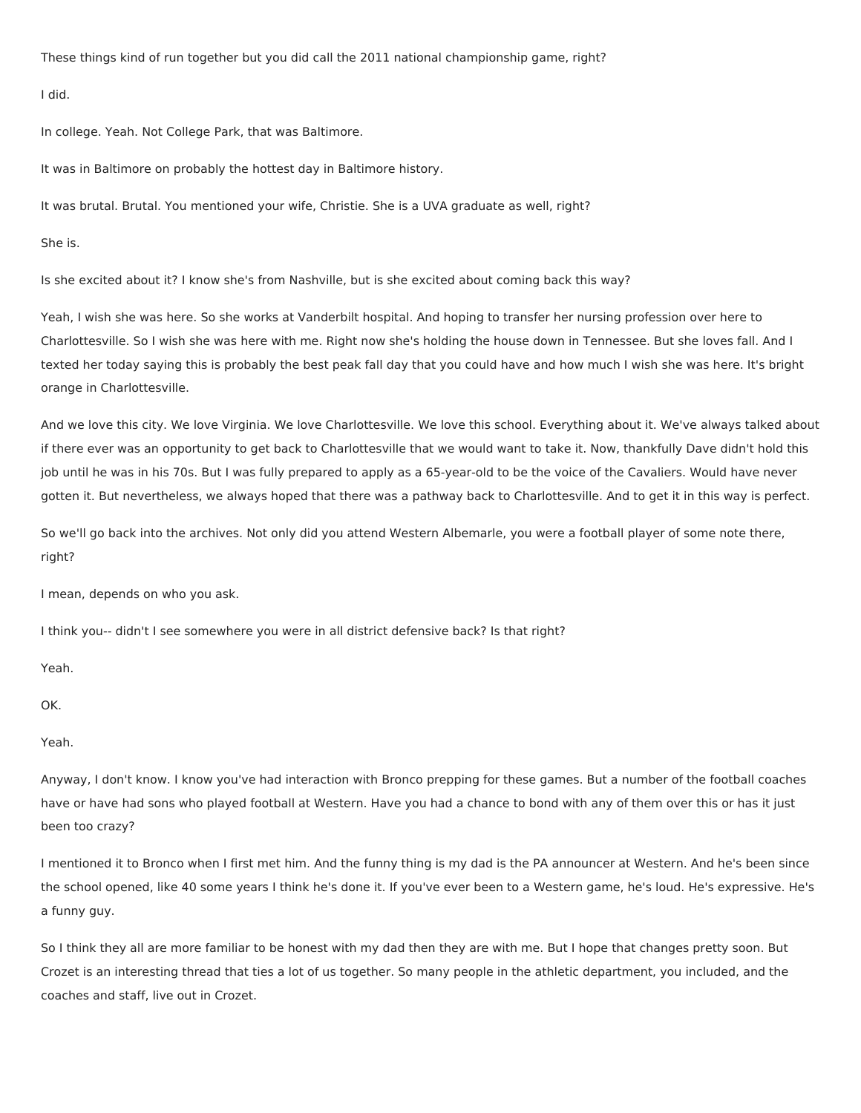These things kind of run together but you did call the 2011 national championship game, right?

I did.

In college. Yeah. Not College Park, that was Baltimore.

It was in Baltimore on probably the hottest day in Baltimore history.

It was brutal. Brutal. You mentioned your wife, Christie. She is a UVA graduate as well, right?

She is.

Is she excited about it? I know she's from Nashville, but is she excited about coming back this way?

Yeah, I wish she was here. So she works at Vanderbilt hospital. And hoping to transfer her nursing profession over here to Charlottesville. So I wish she was here with me. Right now she's holding the house down in Tennessee. But she loves fall. And I texted her today saying this is probably the best peak fall day that you could have and how much I wish she was here. It's bright orange in Charlottesville.

And we love this city. We love Virginia. We love Charlottesville. We love this school. Everything about it. We've always talked about if there ever was an opportunity to get back to Charlottesville that we would want to take it. Now, thankfully Dave didn't hold this job until he was in his 70s. But I was fully prepared to apply as a 65-year-old to be the voice of the Cavaliers. Would have never gotten it. But nevertheless, we always hoped that there was a pathway back to Charlottesville. And to get it in this way is perfect.

So we'll go back into the archives. Not only did you attend Western Albemarle, you were a football player of some note there, right?

I mean, depends on who you ask.

I think you-- didn't I see somewhere you were in all district defensive back? Is that right?

Yeah.

OK.

Yeah.

Anyway, I don't know. I know you've had interaction with Bronco prepping for these games. But a number of the football coaches have or have had sons who played football at Western. Have you had a chance to bond with any of them over this or has it just been too crazy?

I mentioned it to Bronco when I first met him. And the funny thing is my dad is the PA announcer at Western. And he's been since the school opened, like 40 some years I think he's done it. If you've ever been to a Western game, he's loud. He's expressive. He's a funny guy.

So I think they all are more familiar to be honest with my dad then they are with me. But I hope that changes pretty soon. But Crozet is an interesting thread that ties a lot of us together. So many people in the athletic department, you included, and the coaches and staff, live out in Crozet.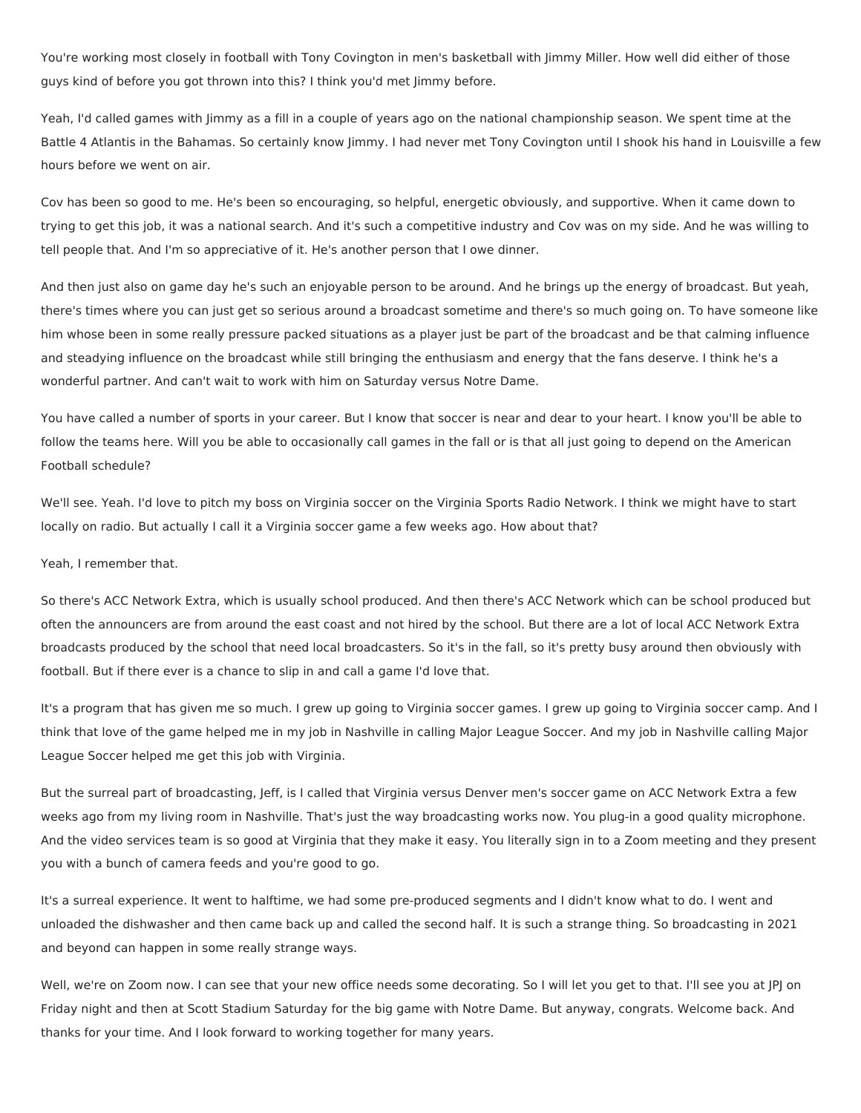You're working most closely in football with Tony Covington in men's basketball with Jimmy Miller. How well did either of those guys kind of before you got thrown into this? I think you'd met Jimmy before.

Yeah, I'd called games with Jimmy as a fill in a couple of years ago on the national championship season. We spent time at the Battle 4 Atlantis in the Bahamas. So certainly know Jimmy. I had never met Tony Covington until I shook his hand in Louisville a few hours before we went on air.

Cov has been so good to me. He's been so encouraging, so helpful, energetic obviously, and supportive. When it came down to trying to get this job, it was a national search. And it's such a competitive industry and Cov was on my side. And he was willing to tell people that. And I'm so appreciative of it. He's another person that I owe dinner.

And then just also on game day he's such an enjoyable person to be around. And he brings up the energy of broadcast. But yeah, there's times where you can just get so serious around a broadcast sometime and there's so much going on. To have someone like him whose been in some really pressure packed situations as a player just be part of the broadcast and be that calming influence and steadying influence on the broadcast while still bringing the enthusiasm and energy that the fans deserve. I think he's a wonderful partner. And can't wait to work with him on Saturday versus Notre Dame.

You have called a number of sports in your career. But I know that soccer is near and dear to your heart. I know you'll be able to follow the teams here. Will you be able to occasionally call games in the fall or is that all just going to depend on the American Football schedule?

We'll see. Yeah. I'd love to pitch my boss on Virginia soccer on the Virginia Sports Radio Network. I think we might have to start locally on radio. But actually I call it a Virginia soccer game a few weeks ago. How about that?

Yeah, I remember that.

So there's ACC Network Extra, which is usually school produced. And then there's ACC Network which can be school produced but often the announcers are from around the east coast and not hired by the school. But there are a lot of local ACC Network Extra broadcasts produced by the school that need local broadcasters. So it's in the fall, so it's pretty busy around then obviously with football. But if there ever is a chance to slip in and call a game I'd love that.

It's a program that has given me so much. I grew up going to Virginia soccer games. I grew up going to Virginia soccer camp. And I think that love of the game helped me in my job in Nashville in calling Major League Soccer. And my job in Nashville calling Major League Soccer helped me get this job with Virginia.

But the surreal part of broadcasting, Jeff, is I called that Virginia versus Denver men's soccer game on ACC Network Extra a few weeks ago from my living room in Nashville. That's just the way broadcasting works now. You plug-in a good quality microphone. And the video services team is so good at Virginia that they make it easy. You literally sign in to a Zoom meeting and they present you with a bunch of camera feeds and you're good to go.

It's a surreal experience. It went to halftime, we had some pre-produced segments and I didn't know what to do. I went and unloaded the dishwasher and then came back up and called the second half. It is such a strange thing. So broadcasting in 2021 and beyond can happen in some really strange ways.

Well, we're on Zoom now. I can see that your new office needs some decorating. So I will let you get to that. I'll see you at JPJ on Friday night and then at Scott Stadium Saturday for the big game with Notre Dame. But anyway, congrats. Welcome back. And thanks for your time. And I look forward to working together for many years.